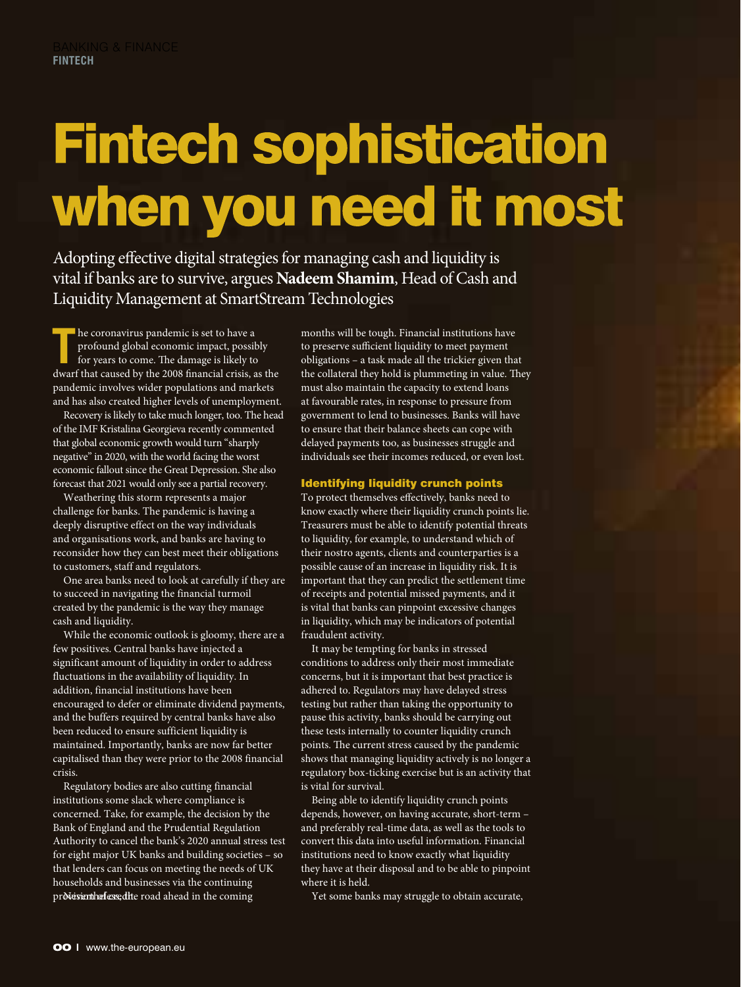## **Fintech sophistication** when you need it most

Adopting effective digital strategies for managing cash and liquidity is vital if banks are to survive, argues **Nadeem Shamim**, Head of Cash and Liquidity Management at SmartStream Technologies

**T** he coronavirus pandemic is set to have a profound global economic impact, possition years to come. The damage is likely to profound global economic impact, possibly for years to come. The damage is likely to dwarf that caused by the 2008 financial crisis, as the pandemic involves wider populations and markets and has also created higher levels of unemployment.

Recovery is likely to take much longer, too. The head of the IMF Kristalina Georgieva recently commented that global economic growth would turn "sharply negative" in 2020, with the world facing the worst economic fallout since the Great Depression. She also forecast that 2021 would only see a partial recovery.

Weathering this storm represents a major challenge for banks. The pandemic is having a deeply disruptive effect on the way individuals and organisations work, and banks are having to reconsider how they can best meet their obligations to customers, staff and regulators.

One area banks need to look at carefully if they are to succeed in navigating the financial turmoil created by the pandemic is the way they manage cash and liquidity.

While the economic outlook is gloomy, there are a few positives. Central banks have injected a significant amount of liquidity in order to address fluctuations in the availability of liquidity. In addition, financial institutions have been encouraged to defer or eliminate dividend payments, and the buffers required by central banks have also been reduced to ensure sufficient liquidity is maintained. Importantly, banks are now far better capitalised than they were prior to the 2008 financial crisis.

Regulatory bodies are also cutting financial institutions some slack where compliance is concerned. Take, for example, the decision by the Bank of England and the Prudential Regulation Authority to cancel the bank's 2020 annual stress test for eight major UK banks and building societies – so that lenders can focus on meeting the needs of UK households and businesses via the continuing provision the fessed ite road ahead in the coming

months will be tough. Financial institutions have to preserve sufficient liquidity to meet payment obligations – a task made all the trickier given that the collateral they hold is plummeting in value. They must also maintain the capacity to extend loans at favourable rates, in response to pressure from government to lend to businesses. Banks will have to ensure that their balance sheets can cope with delayed payments too, as businesses struggle and individuals see their incomes reduced, or even lost.

## Identifying liquidity crunch points

To protect themselves effectively, banks need to know exactly where their liquidity crunch points lie. Treasurers must be able to identify potential threats to liquidity, for example, to understand which of their nostro agents, clients and counterparties is a possible cause of an increase in liquidity risk. It is important that they can predict the settlement time of receipts and potential missed payments, and it is vital that banks can pinpoint excessive changes in liquidity, which may be indicators of potential fraudulent activity.

It may be tempting for banks in stressed conditions to address only their most immediate concerns, but it is important that best practice is adhered to. Regulators may have delayed stress testing but rather than taking the opportunity to pause this activity, banks should be carrying out these tests internally to counter liquidity crunch points. The current stress caused by the pandemic shows that managing liquidity actively is no longer a regulatory box-ticking exercise but is an activity that is vital for survival.

Being able to identify liquidity crunch points depends, however, on having accurate, short-term – and preferably real-time data, as well as the tools to convert this data into useful information. Financial institutions need to know exactly what liquidity they have at their disposal and to be able to pinpoint where it is held.

Yet some banks may struggle to obtain accurate,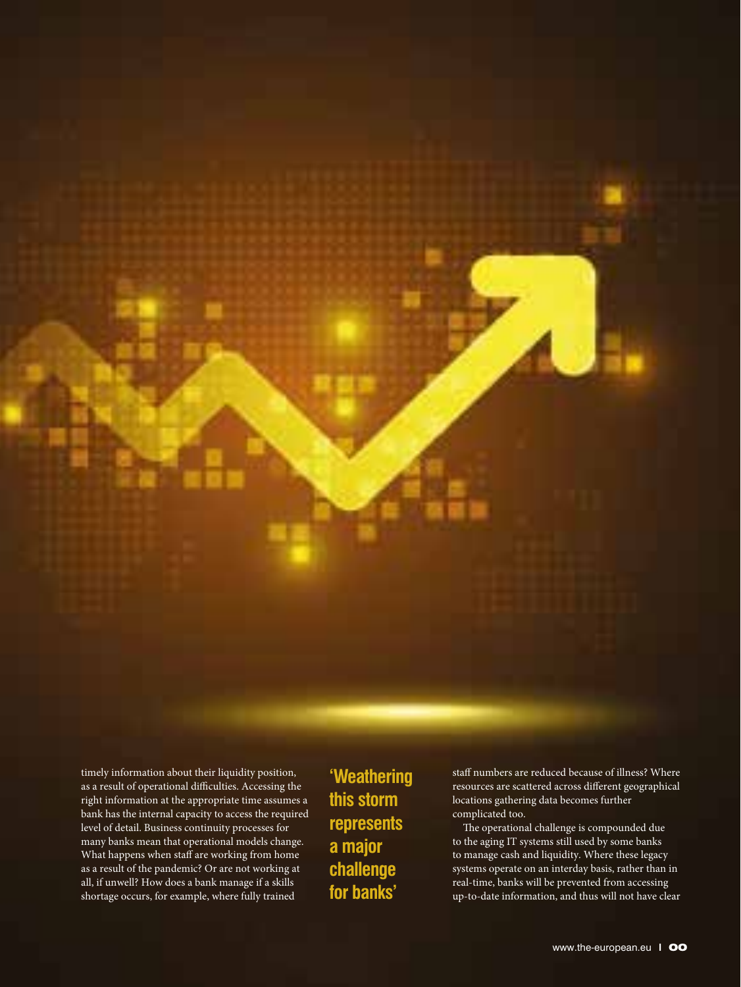timely information about their liquidity position, as a result of operational difficulties. Accessing the right information at the appropriate time assumes a bank has the internal capacity to access the required level of detail. Business continuity processes for many banks mean that operational models change. What happens when staff are working from home as a result of the pandemic? Or are not working at all, if unwell? How does a bank manage if a skills shortage occurs, for example, where fully trained

**'Weathering this storm represents a major challenge for banks'** 

staff numbers are reduced because of illness? Where resources are scattered across different geographical locations gathering data becomes further complicated too.

The operational challenge is compounded due to the aging IT systems still used by some banks to manage cash and liquidity. Where these legacy systems operate on an interday basis, rather than in real-time, banks will be prevented from accessing up-to-date information, and thus will not have clear